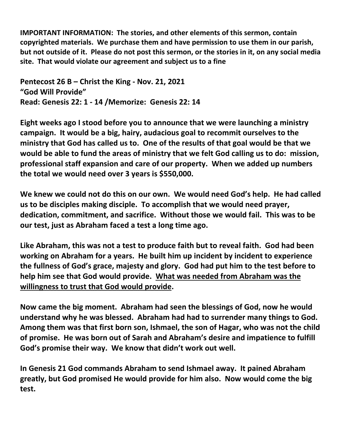**IMPORTANT INFORMATION: The stories, and other elements of this sermon, contain copyrighted materials. We purchase them and have permission to use them in our parish,** but not outside of it. Please do not post this sermon, or the stories in it, on any social media **site. That would violate our agreement and subject us to a fine** 

**Pentecost 26 B – Christ the King - Nov. 21, 2021 "God Will Provide" Read: Genesis 22: 1 - 14 /Memorize: Genesis 22: 14**

**Eight weeks ago I stood before you to announce that we were launching a ministry campaign. It would be a big, hairy, audacious goal to recommit ourselves to the ministry that God has called us to. One of the results of that goal would be that we would be able to fund the areas of ministry that we felt God calling us to do: mission, professional staff expansion and care of our property. When we added up numbers the total we would need over 3 years is \$550,000.** 

**We knew we could not do this on our own. We would need God's help. He had called us to be disciples making disciple. To accomplish that we would need prayer, dedication, commitment, and sacrifice. Without those we would fail. This was to be our test, just as Abraham faced a test a long time ago.** 

**Like Abraham, this was not a test to produce faith but to reveal faith. God had been working on Abraham for a years. He built him up incident by incident to experience the fullness of God's grace, majesty and glory. God had put him to the test before to help him see that God would provide. What was needed from Abraham was the willingness to trust that God would provide.** 

**Now came the big moment. Abraham had seen the blessings of God, now he would understand why he was blessed. Abraham had had to surrender many things to God. Among them was that first born son, Ishmael, the son of Hagar, who was not the child of promise. He was born out of Sarah and Abraham's desire and impatience to fulfill God's promise their way. We know that didn't work out well.** 

**In Genesis 21 God commands Abraham to send Ishmael away. It pained Abraham greatly, but God promised He would provide for him also. Now would come the big test.**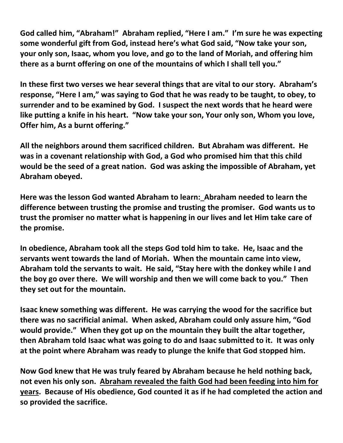**God called him, "Abraham!" Abraham replied, "Here I am." I'm sure he was expecting some wonderful gift from God, instead here's what God said, "Now take your son, your only son, Isaac, whom you love, and go to the land of Moriah, and offering him there as a burnt offering on one of the mountains of which I shall tell you."** 

**In these first two verses we hear several things that are vital to our story. Abraham's response, "Here I am," was saying to God that he was ready to be taught, to obey, to surrender and to be examined by God. I suspect the next words that he heard were like putting a knife in his heart. "Now take your son, Your only son, Whom you love, Offer him, As a burnt offering."** 

**All the neighbors around them sacrificed children. But Abraham was different. He was in a covenant relationship with God, a God who promised him that this child would be the seed of a great nation. God was asking the impossible of Abraham, yet Abraham obeyed.** 

**Here was the lesson God wanted Abraham to learn: Abraham needed to learn the difference between trusting the promise and trusting the promiser. God wants us to trust the promiser no matter what is happening in our lives and let Him take care of the promise.** 

**In obedience, Abraham took all the steps God told him to take. He, Isaac and the servants went towards the land of Moriah. When the mountain came into view, Abraham told the servants to wait. He said, "Stay here with the donkey while I and the boy go over there. We will worship and then we will come back to you." Then they set out for the mountain.** 

**Isaac knew something was different. He was carrying the wood for the sacrifice but there was no sacrificial animal. When asked, Abraham could only assure him, "God would provide." When they got up on the mountain they built the altar together, then Abraham told Isaac what was going to do and Isaac submitted to it. It was only at the point where Abraham was ready to plunge the knife that God stopped him.** 

**Now God knew that He was truly feared by Abraham because he held nothing back, not even his only son. Abraham revealed the faith God had been feeding into him for years. Because of His obedience, God counted it as if he had completed the action and so provided the sacrifice.**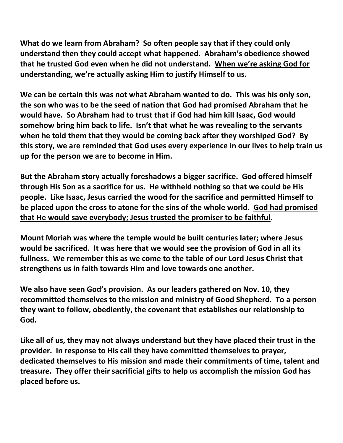**What do we learn from Abraham? So often people say that if they could only understand then they could accept what happened. Abraham's obedience showed that he trusted God even when he did not understand. When we're asking God for understanding, we're actually asking Him to justify Himself to us.**

**We can be certain this was not what Abraham wanted to do. This was his only son, the son who was to be the seed of nation that God had promised Abraham that he would have. So Abraham had to trust that if God had him kill Isaac, God would somehow bring him back to life. Isn't that what he was revealing to the servants when he told them that they would be coming back after they worshiped God? By this story, we are reminded that God uses every experience in our lives to help train us up for the person we are to become in Him.** 

**But the Abraham story actually foreshadows a bigger sacrifice. God offered himself through His Son as a sacrifice for us. He withheld nothing so that we could be His people. Like Isaac, Jesus carried the wood for the sacrifice and permitted Himself to be placed upon the cross to atone for the sins of the whole world. God had promised that He would save everybody; Jesus trusted the promiser to be faithful.** 

**Mount Moriah was where the temple would be built centuries later; where Jesus would be sacrificed. It was here that we would see the provision of God in all its fullness. We remember this as we come to the table of our Lord Jesus Christ that strengthens us in faith towards Him and love towards one another.** 

**We also have seen God's provision. As our leaders gathered on Nov. 10, they recommitted themselves to the mission and ministry of Good Shepherd. To a person they want to follow, obediently, the covenant that establishes our relationship to God.** 

**Like all of us, they may not always understand but they have placed their trust in the provider. In response to His call they have committed themselves to prayer, dedicated themselves to His mission and made their commitments of time, talent and treasure. They offer their sacrificial gifts to help us accomplish the mission God has placed before us.**